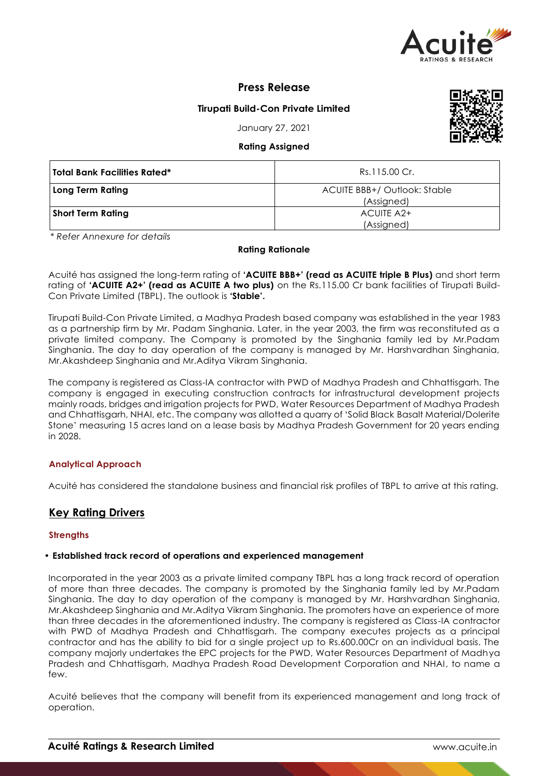

# **Press Release**

# **Tirupati Build-Con Private Limited**

January 27, 2021

# **Rating Assigned**

| Total Bank Facilities Rated* | Rs.115.00 Cr.                              |
|------------------------------|--------------------------------------------|
| Long Term Rating             | ACUITE BBB+/ Outlook: Stable<br>(Assigned) |
| <b>Short Term Rating</b>     | ACUITE A2+                                 |
|                              | (Assigned)                                 |

*\* Refer Annexure for details*

## **Rating Rationale**

Acuité has assigned the long-term rating of **'ACUITE BBB+' (read as ACUITE triple B Plus)** and short term rating of **'ACUITE A2+' (read as ACUITE A two plus)** on the Rs.115.00 Cr bank facilities of Tirupati Build-Con Private Limited (TBPL). The outlook is **'Stable'.**

Tirupati Build-Con Private Limited, a Madhya Pradesh based company was established in the year 1983 as a partnership firm by Mr. Padam Singhania. Later, in the year 2003, the firm was reconstituted as a private limited company. The Company is promoted by the Singhania family led by Mr.Padam Singhania. The day to day operation of the company is managed by Mr. Harshvardhan Singhania, Mr.Akashdeep Singhania and Mr.Aditya Vikram Singhania.

The company is registered as Class-IA contractor with PWD of Madhya Pradesh and Chhattisgarh. The company is engaged in executing construction contracts for infrastructural development projects mainly roads, bridges and irrigation projects for PWD, Water Resources Department of Madhya Pradesh and Chhattisgarh, NHAI, etc. The company was allotted a quarry of 'Solid Black Basalt Material/Dolerite Stone' measuring 15 acres land on a lease basis by Madhya Pradesh Government for 20 years ending in 2028.

# **Analytical Approach**

Acuité has considered the standalone business and financial risk profiles of TBPL to arrive at this rating.

# **Key Rating Drivers**

## **Strengths**

## • **Established track record of operations and experienced management**

Incorporated in the year 2003 as a private limited company TBPL has a long track record of operation of more than three decades. The company is promoted by the Singhania family led by Mr.Padam Singhania. The day to day operation of the company is managed by Mr. Harshvardhan Singhania, Mr.Akashdeep Singhania and Mr.Aditya Vikram Singhania. The promoters have an experience of more than three decades in the aforementioned industry. The company is registered as Class-IA contractor with PWD of Madhya Pradesh and Chhattisgarh. The company executes projects as a principal contractor and has the ability to bid for a single project up to Rs.600.00Cr on an individual basis. The company majorly undertakes the EPC projects for the PWD, Water Resources Department of Madhya Pradesh and Chhattisgarh, Madhya Pradesh Road Development Corporation and NHAI, to name a few.

Acuité believes that the company will benefit from its experienced management and long track of operation.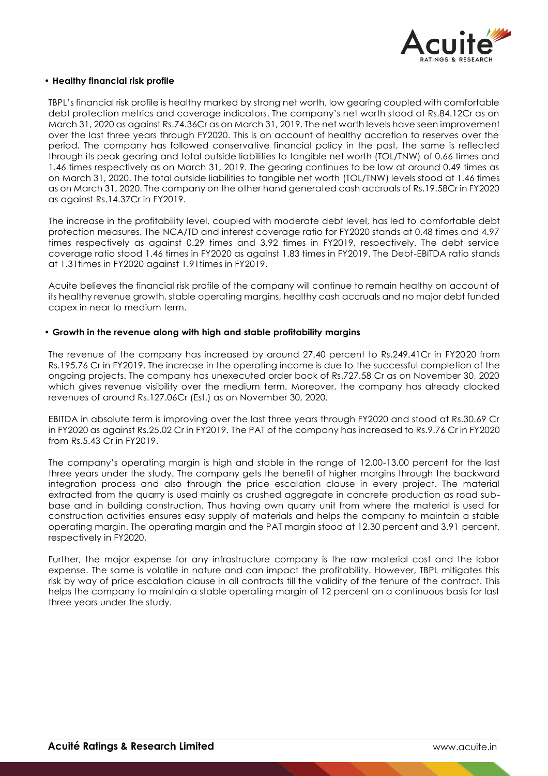

## • **Healthy financial risk profile**

TBPL's financial risk profile is healthy marked by strong net worth, low gearing coupled with comfortable debt protection metrics and coverage indicators. The company's net worth stood at Rs.84.12Cr as on March 31, 2020 as against Rs.74.36Cr as on March 31, 2019. The net worth levels have seen improvement over the last three years through FY2020. This is on account of healthy accretion to reserves over the period. The company has followed conservative financial policy in the past, the same is reflected through its peak gearing and total outside liabilities to tangible net worth (TOL/TNW) of 0.66 times and 1.46 times respectively as on March 31, 2019. The gearing continues to be low at around 0.49 times as on March 31, 2020. The total outside liabilities to tangible net worth (TOL/TNW) levels stood at 1.46 times as on March 31, 2020. The company on the other hand generated cash accruals of Rs.19.58Cr in FY2020 as against Rs.14.37Cr in FY2019.

The increase in the profitability level, coupled with moderate debt level, has led to comfortable debt protection measures. The NCA/TD and interest coverage ratio for FY2020 stands at 0.48 times and 4.97 times respectively as against 0.29 times and 3.92 times in FY2019, respectively. The debt service coverage ratio stood 1.46 times in FY2020 as against 1.83 times in FY2019. The Debt-EBITDA ratio stands at 1.31times in FY2020 against 1.91times in FY2019.

Acuite believes the financial risk profile of the company will continue to remain healthy on account of its healthy revenue growth, stable operating margins, healthy cash accruals and no major debt funded capex in near to medium term.

# • **Growth in the revenue along with high and stable profitability margins**

The revenue of the company has increased by around 27.40 percent to Rs.249.41Cr in FY2020 from Rs.195.76 Cr in FY2019. The increase in the operating income is due to the successful completion of the ongoing projects. The company has unexecuted order book of Rs.727.58 Cr as on November 30, 2020 which gives revenue visibility over the medium term. Moreover, the company has already clocked revenues of around Rs.127.06Cr (Est.) as on November 30, 2020.

EBITDA in absolute term is improving over the last three years through FY2020 and stood at Rs.30.69 Cr in FY2020 as against Rs.25.02 Cr in FY2019. The PAT of the company has increased to Rs.9.76 Cr in FY2020 from Rs.5.43 Cr in FY2019.

The company's operating margin is high and stable in the range of 12.00-13.00 percent for the last three years under the study. The company gets the benefit of higher margins through the backward integration process and also through the price escalation clause in every project. The material extracted from the quarry is used mainly as crushed aggregate in concrete production as road subbase and in building construction. Thus having own quarry unit from where the material is used for construction activities ensures easy supply of materials and helps the company to maintain a stable operating margin. The operating margin and the PAT margin stood at 12.30 percent and 3.91 percent, respectively in FY2020.

Further, the major expense for any infrastructure company is the raw material cost and the labor expense. The same is volatile in nature and can impact the profitability. However, TBPL mitigates this risk by way of price escalation clause in all contracts till the validity of the tenure of the contract. This helps the company to maintain a stable operating margin of 12 percent on a continuous basis for last three years under the study.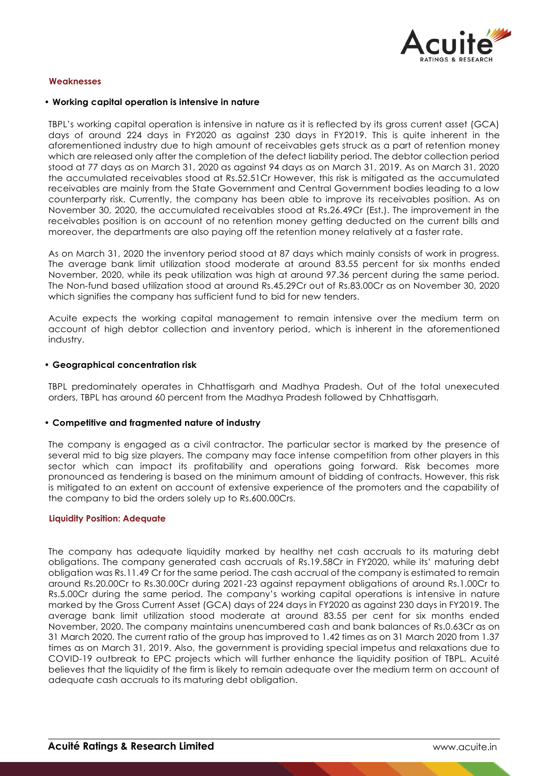

# **Weaknesses**

#### • **Working capital operation is intensive in nature**

TBPL's working capital operation is intensive in nature as it is reflected by its gross current asset (GCA) days of around 224 days in FY2020 as against 230 days in FY2019. This is quite inherent in the aforementioned industry due to high amount of receivables gets struck as a part of retention money which are released only after the completion of the defect liability period. The debtor collection period stood at 77 days as on March 31, 2020 as against 94 days as on March 31, 2019. As on March 31, 2020 the accumulated receivables stood at Rs.52.51Cr However, this risk is mitigated as the accumulated receivables are mainly from the State Government and Central Government bodies leading to a low counterparty risk. Currently, the company has been able to improve its receivables position. As on November 30, 2020, the accumulated receivables stood at Rs.26.49Cr (Est.). The improvement in the receivables position is on account of no retention money getting deducted on the current bills and moreover, the departments are also paying off the retention money relatively at a faster rate.

As on March 31, 2020 the inventory period stood at 87 days which mainly consists of work in progress. The average bank limit utilization stood moderate at around 83.55 percent for six months ended November, 2020, while its peak utilization was high at around 97.36 percent during the same period. The Non-fund based utilization stood at around Rs.45.29Cr out of Rs.83.00Cr as on November 30, 2020 which signifies the company has sufficient fund to bid for new tenders.

Acuite expects the working capital management to remain intensive over the medium term on account of high debtor collection and inventory period, which is inherent in the aforementioned industry.

#### • **Geographical concentration risk**

TBPL predominately operates in Chhattisgarh and Madhya Pradesh. Out of the total unexecuted orders, TBPL has around 60 percent from the Madhya Pradesh followed by Chhattisgarh.

## • **Competitive and fragmented nature of industry**

The company is engaged as a civil contractor. The particular sector is marked by the presence of several mid to big size players. The company may face intense competition from other players in this sector which can impact its profitability and operations going forward. Risk becomes more pronounced as tendering is based on the minimum amount of bidding of contracts. However, this risk is mitigated to an extent on account of extensive experience of the promoters and the capability of the company to bid the orders solely up to Rs.600.00Crs.

#### **Liquidity Position: Adequate**

The company has adequate liquidity marked by healthy net cash accruals to its maturing debt obligations. The company generated cash accruals of Rs.19.58Cr in FY2020, while its' maturing debt obligation was Rs.11.49 Cr for the same period. The cash accrual of the company is estimated to remain around Rs.20.00Cr to Rs.30.00Cr during 2021-23 against repayment obligations of around Rs.1.00Cr to Rs.5.00Cr during the same period. The company's working capital operations is intensive in nature marked by the Gross Current Asset (GCA) days of 224 days in FY2020 as against 230 days in FY2019. The average bank limit utilization stood moderate at around 83.55 per cent for six months ended November, 2020. The company maintains unencumbered cash and bank balances of Rs.0.63Cr as on 31 March 2020. The current ratio of the group has improved to 1.42 times as on 31 March 2020 from 1.37 times as on March 31, 2019. Also, the government is providing special impetus and relaxations due to COVID-19 outbreak to EPC projects which will further enhance the liquidity position of TBPL. Acuité believes that the liquidity of the firm is likely to remain adequate over the medium term on account of adequate cash accruals to its maturing debt obligation.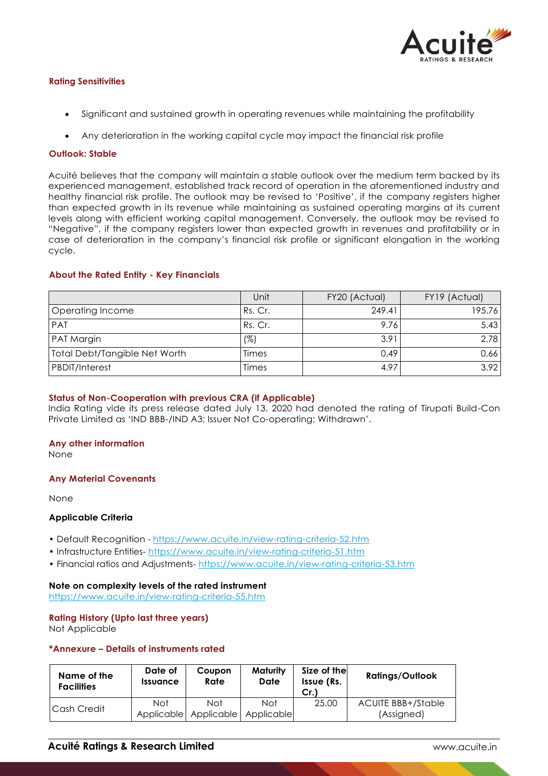

# **Rating Sensitivities**

- Significant and sustained growth in operating revenues while maintaining the profitability
- Any deterioration in the working capital cycle may impact the financial risk profile

# **Outlook: Stable**

Acuité believes that the company will maintain a stable outlook over the medium term backed by its experienced management, established track record of operation in the aforementioned industry and healthy financial risk profile. The outlook may be revised to 'Positive', if the company registers higher than expected growth in its revenue while maintaining as sustained operating margins at its current levels along with efficient working capital management. Conversely, the outlook may be revised to "Negative", if the company registers lower than expected growth in revenues and profitability or in case of deterioration in the company's financial risk profile or significant elongation in the working cycle.

# **About the Rated Entity - Key Financials**

|                                      | Unit    | FY20 (Actual) | FY19 (Actual) |
|--------------------------------------|---------|---------------|---------------|
| Operating Income                     | Rs. Cr. | 249.41        | 195.76        |
| <b>PAT</b>                           | Rs. Cr. | 9.76          | 5.43          |
| PAT Margin                           | (%)     | 3.91          | 2.78          |
| <b>Total Debt/Tangible Net Worth</b> | Times   | 0.49          | 0.66          |
| <b>PBDIT/Interest</b>                | Times   | 4.97          | 3.92          |

## **Status of Non-Cooperation with previous CRA (if Applicable)**

India Rating vide its press release dated July 13, 2020 had denoted the rating of Tirupati Build-Con Private Limited as 'IND BBB-/IND A3; Issuer Not Co-operating; Withdrawn'.

## **Any other information**

None

## **Any Material Covenants**

None

## **Applicable Criteria**

- Default Recognition https://www.acuite.in/view-rating-criteria-52.htm
- Infrastructure Entities- https://www.acuite.in/view-rating-criteria-51.htm
- Financial ratios and Adjustments- https://www.acuite.in/view-rating-criteria-53.htm

## **Note on complexity levels of the rated instrument**

https://www.acuite.in/view-rating-criteria-55.htm

## **Rating History (Upto last three years)**

Not Applicable

# **\*Annexure – Details of instruments rated**

| Name of the<br><b>Facilities</b> | Date of<br><i><u><b>Issuance</b></u></i> | Coupon<br>Rate    | Maturity<br>Date  | Size of the<br>Issue (Rs.<br>Cr. | <b>Ratings/Outlook</b>                  |
|----------------------------------|------------------------------------------|-------------------|-------------------|----------------------------------|-----------------------------------------|
| l Cash Credit                    | Not<br>Applicable                        | Not<br>Applicable | Not<br>Applicable | 25.00                            | <b>ACUITE BBB+/Stable</b><br>(Assigned) |